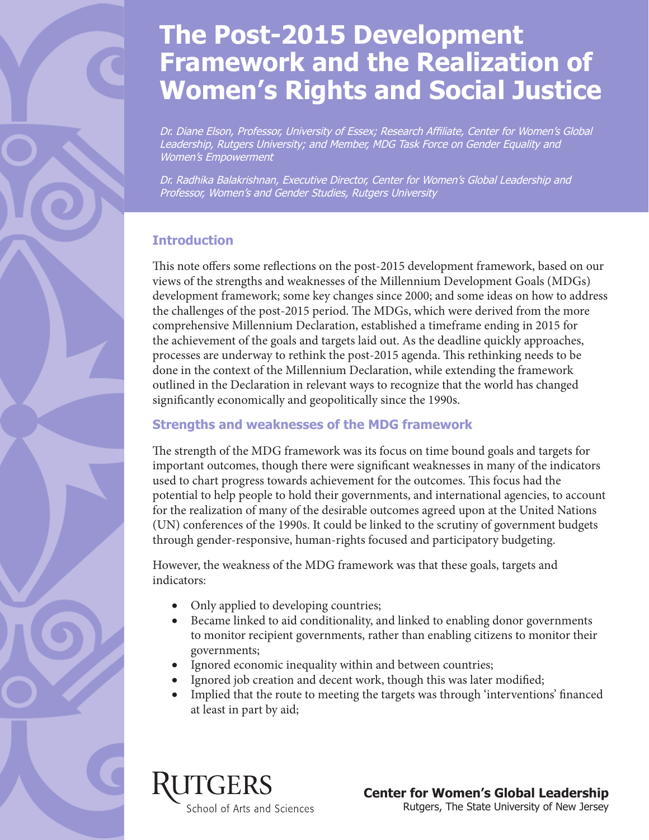# **The Post-2015 Development Framework and the Realization of Women's Rights and Social Justice**

Dr. Diane Elson, Professor, University of Essex; Research Affiliate, Center for Women's Global Leadership, Rutgers University; and Member, MDG Task Force on Gender Equality and Women's Empowerment

Dr. Radhika Balakrishnan, Executive Director, Center for Women's Global Leadership and Professor, Women's and Gender Studies, Rutgers University

## **Introduction**

This note offers some reflections on the post-2015 development framework, based on our views of the strengths and weaknesses of the Millennium Development Goals (MDGs) development framework; some key changes since 2000; and some ideas on how to address the challenges of the post-2015 period. The MDGs, which were derived from the more comprehensive Millennium Declaration, established a timeframe ending in 2015 for the achievement of the goals and targets laid out. As the deadline quickly approaches, processes are underway to rethink the post-2015 agenda. This rethinking needs to be done in the context of the Millennium Declaration, while extending the framework outlined in the Declaration in relevant ways to recognize that the world has changed significantly economically and geopolitically since the 1990s.

#### **Strengths and weaknesses of the MDG framework**

The strength of the MDG framework was its focus on time bound goals and targets for important outcomes, though there were significant weaknesses in many of the indicators used to chart progress towards achievement for the outcomes. This focus had the potential to help people to hold their governments, and international agencies, to account for the realization of many of the desirable outcomes agreed upon at the United Nations (UN) conferences of the 1990s. It could be linked to the scrutiny of government budgets through gender-responsive, human-rights focused and participatory budgeting.

However, the weakness of the MDG framework was that these goals, targets and indicators:

- Only applied to developing countries;
- Became linked to aid conditionality, and linked to enabling donor governments to monitor recipient governments, rather than enabling citizens to monitor their governments;
- Ignored economic inequality within and between countries;
- Ignored job creation and decent work, though this was later modified;
- Implied that the route to meeting the targets was through 'interventions' financed at least in part by aid;

TGERS

School of Arts and Sciences

**Center for Women's Global Leadership**  Rutgers, The State University of New Jersey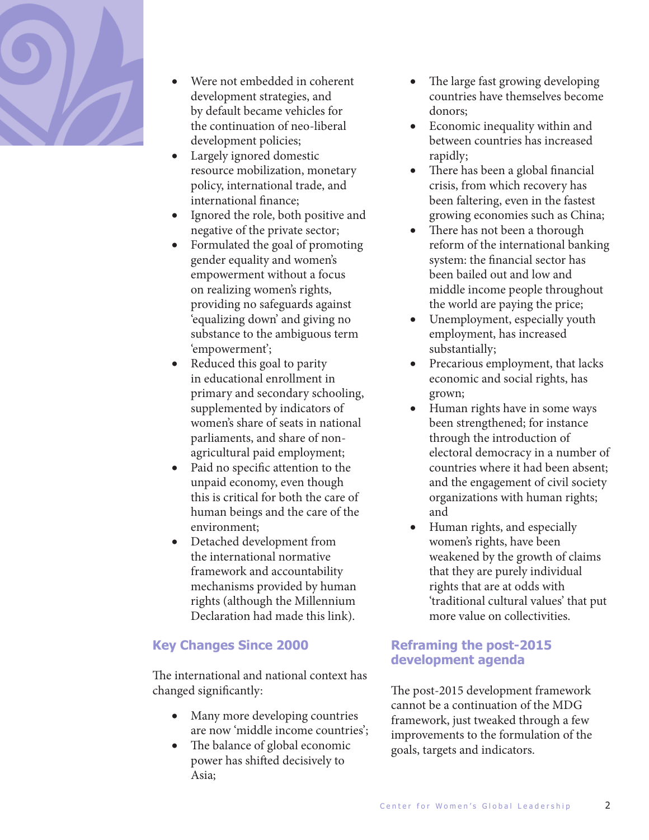

- Were not embedded in coherent development strategies, and by default became vehicles for the continuation of neo-liberal development policies;
- Largely ignored domestic resource mobilization, monetary policy, international trade, and international finance;
- Ignored the role, both positive and negative of the private sector;
- Formulated the goal of promoting gender equality and women's empowerment without a focus on realizing women's rights, providing no safeguards against 'equalizing down' and giving no substance to the ambiguous term 'empowerment';
- Reduced this goal to parity in educational enrollment in primary and secondary schooling, supplemented by indicators of women's share of seats in national parliaments, and share of nonagricultural paid employment;
- Paid no specific attention to the unpaid economy, even though this is critical for both the care of human beings and the care of the environment;
- • Detached development from the international normative framework and accountability mechanisms provided by human rights (although the Millennium Declaration had made this link).

#### **Key Changes Since 2000**

The international and national context has changed significantly:

- Many more developing countries are now 'middle income countries';
- The balance of global economic power has shifted decisively to Asia;
- The large fast growing developing countries have themselves become donors;
- Economic inequality within and between countries has increased rapidly;
- There has been a global financial crisis, from which recovery has been faltering, even in the fastest growing economies such as China;
- There has not been a thorough reform of the international banking system: the financial sector has been bailed out and low and middle income people throughout the world are paying the price;
- Unemployment, especially youth employment, has increased substantially;
- Precarious employment, that lacks economic and social rights, has grown;
- Human rights have in some ways been strengthened; for instance through the introduction of electoral democracy in a number of countries where it had been absent; and the engagement of civil society organizations with human rights; and
- Human rights, and especially women's rights, have been weakened by the growth of claims that they are purely individual rights that are at odds with 'traditional cultural values' that put more value on collectivities.

### **Reframing the post-2015 development agenda**

The post-2015 development framework cannot be a continuation of the MDG framework, just tweaked through a few improvements to the formulation of the goals, targets and indicators.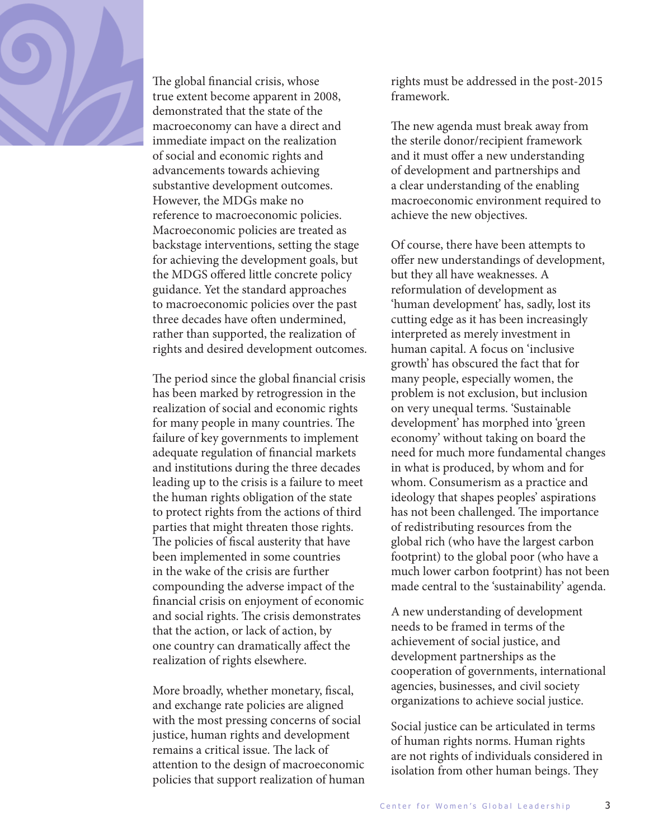

The global financial crisis, whose true extent become apparent in 2008, demonstrated that the state of the macroeconomy can have a direct and immediate impact on the realization of social and economic rights and advancements towards achieving substantive development outcomes. However, the MDGs make no reference to macroeconomic policies. Macroeconomic policies are treated as backstage interventions, setting the stage for achieving the development goals, but the MDGS offered little concrete policy guidance. Yet the standard approaches to macroeconomic policies over the past three decades have often undermined, rather than supported, the realization of rights and desired development outcomes.

The period since the global financial crisis has been marked by retrogression in the realization of social and economic rights for many people in many countries. The failure of key governments to implement adequate regulation of financial markets and institutions during the three decades leading up to the crisis is a failure to meet the human rights obligation of the state to protect rights from the actions of third parties that might threaten those rights. The policies of fiscal austerity that have been implemented in some countries in the wake of the crisis are further compounding the adverse impact of the financial crisis on enjoyment of economic and social rights. The crisis demonstrates that the action, or lack of action, by one country can dramatically affect the realization of rights elsewhere.

More broadly, whether monetary, fiscal, and exchange rate policies are aligned with the most pressing concerns of social justice, human rights and development remains a critical issue. The lack of attention to the design of macroeconomic policies that support realization of human

rights must be addressed in the post-2015 framework.

The new agenda must break away from the sterile donor/recipient framework and it must offer a new understanding of development and partnerships and a clear understanding of the enabling macroeconomic environment required to achieve the new objectives.

Of course, there have been attempts to offer new understandings of development, but they all have weaknesses. A reformulation of development as 'human development' has, sadly, lost its cutting edge as it has been increasingly interpreted as merely investment in human capital. A focus on 'inclusive growth' has obscured the fact that for many people, especially women, the problem is not exclusion, but inclusion on very unequal terms. 'Sustainable development' has morphed into 'green economy' without taking on board the need for much more fundamental changes in what is produced, by whom and for whom. Consumerism as a practice and ideology that shapes peoples' aspirations has not been challenged. The importance of redistributing resources from the global rich (who have the largest carbon footprint) to the global poor (who have a much lower carbon footprint) has not been made central to the 'sustainability' agenda.

A new understanding of development needs to be framed in terms of the achievement of social justice, and development partnerships as the cooperation of governments, international agencies, businesses, and civil society organizations to achieve social justice.

Social justice can be articulated in terms of human rights norms. Human rights are not rights of individuals considered in isolation from other human beings. They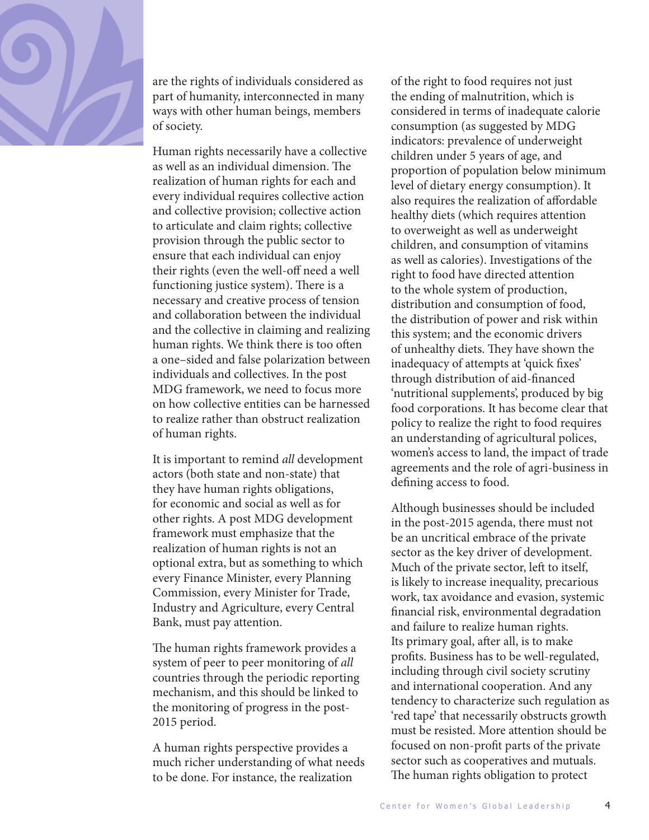

are the rights of individuals considered as part of humanity, interconnected in many ways with other human beings, members of society.

Human rights necessarily have a collective as well as an individual dimension. The realization of human rights for each and every individual requires collective action and collective provision; collective action to articulate and claim rights; collective provision through the public sector to ensure that each individual can enjoy their rights (even the well-off need a well functioning justice system). There is a necessary and creative process of tension and collaboration between the individual and the collective in claiming and realizing human rights. We think there is too often a one–sided and false polarization between individuals and collectives. In the post MDG framework, we need to focus more on how collective entities can be harnessed to realize rather than obstruct realization of human rights.

It is important to remind *all* development actors (both state and non-state) that they have human rights obligations, for economic and social as well as for other rights. A post MDG development framework must emphasize that the realization of human rights is not an optional extra, but as something to which every Finance Minister, every Planning Commission, every Minister for Trade, Industry and Agriculture, every Central Bank, must pay attention.

The human rights framework provides a system of peer to peer monitoring of *all*  countries through the periodic reporting mechanism, and this should be linked to the monitoring of progress in the post-2015 period.

A human rights perspective provides a much richer understanding of what needs to be done. For instance, the realization

of the right to food requires not just the ending of malnutrition, which is considered in terms of inadequate calorie consumption (as suggested by MDG indicators: prevalence of underweight children under 5 years of age, and proportion of population below minimum level of dietary energy consumption). It also requires the realization of affordable healthy diets (which requires attention to overweight as well as underweight children, and consumption of vitamins as well as calories). Investigations of the right to food have directed attention to the whole system of production, distribution and consumption of food, the distribution of power and risk within this system; and the economic drivers of unhealthy diets. They have shown the inadequacy of attempts at 'quick fixes' through distribution of aid-financed 'nutritional supplements', produced by big food corporations. It has become clear that policy to realize the right to food requires an understanding of agricultural polices, women's access to land, the impact of trade agreements and the role of agri-business in defining access to food.

Although businesses should be included in the post-2015 agenda, there must not be an uncritical embrace of the private sector as the key driver of development. Much of the private sector, left to itself, is likely to increase inequality, precarious work, tax avoidance and evasion, systemic financial risk, environmental degradation and failure to realize human rights. Its primary goal, after all, is to make profits. Business has to be well-regulated, including through civil society scrutiny and international cooperation. And any tendency to characterize such regulation as 'red tape' that necessarily obstructs growth must be resisted. More attention should be focused on non-profit parts of the private sector such as cooperatives and mutuals. The human rights obligation to protect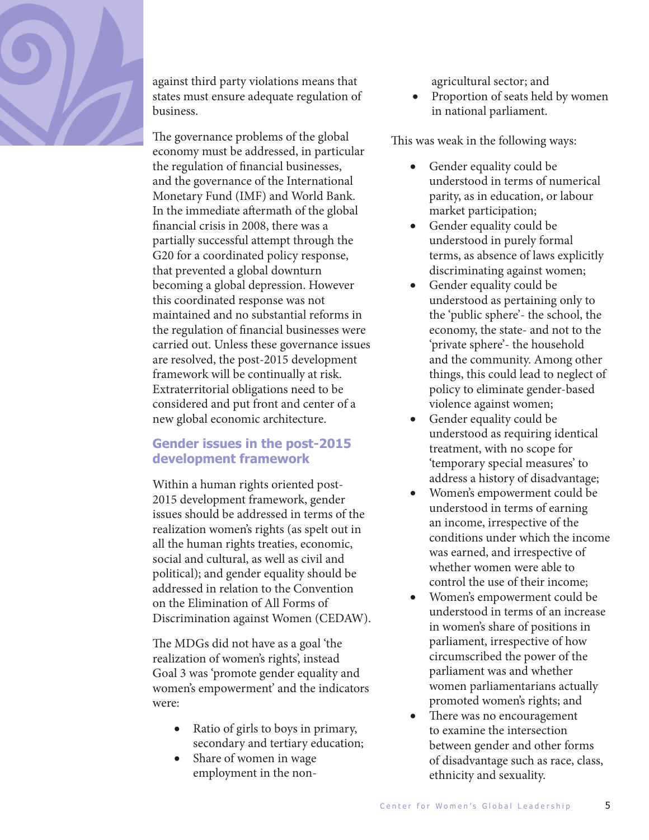

against third party violations means that states must ensure adequate regulation of business.

The governance problems of the global economy must be addressed, in particular the regulation of financial businesses, and the governance of the International Monetary Fund (IMF) and World Bank. In the immediate aftermath of the global financial crisis in 2008, there was a partially successful attempt through the G20 for a coordinated policy response, that prevented a global downturn becoming a global depression. However this coordinated response was not maintained and no substantial reforms in the regulation of financial businesses were carried out. Unless these governance issues are resolved, the post-2015 development framework will be continually at risk. Extraterritorial obligations need to be considered and put front and center of a new global economic architecture.

#### **Gender issues in the post-2015 development framework**

Within a human rights oriented post-2015 development framework, gender issues should be addressed in terms of the realization women's rights (as spelt out in all the human rights treaties, economic, social and cultural, as well as civil and political); and gender equality should be addressed in relation to the Convention on the Elimination of All Forms of Discrimination against Women (CEDAW).

The MDGs did not have as a goal 'the realization of women's rights', instead Goal 3 was 'promote gender equality and women's empowerment' and the indicators were:

- Ratio of girls to boys in primary, secondary and tertiary education;
- Share of women in wage employment in the non-

agricultural sector; and

• Proportion of seats held by women in national parliament.

This was weak in the following ways:

- Gender equality could be understood in terms of numerical parity, as in education, or labour market participation;
- Gender equality could be understood in purely formal terms, as absence of laws explicitly discriminating against women;
- Gender equality could be understood as pertaining only to the 'public sphere'- the school, the economy, the state- and not to the 'private sphere'- the household and the community. Among other things, this could lead to neglect of policy to eliminate gender-based violence against women;
- Gender equality could be understood as requiring identical treatment, with no scope for 'temporary special measures' to address a history of disadvantage;
- Women's empowerment could be understood in terms of earning an income, irrespective of the conditions under which the income was earned, and irrespective of whether women were able to control the use of their income;
- Women's empowerment could be understood in terms of an increase in women's share of positions in parliament, irrespective of how circumscribed the power of the parliament was and whether women parliamentarians actually promoted women's rights; and
- There was no encouragement to examine the intersection between gender and other forms of disadvantage such as race, class, ethnicity and sexuality.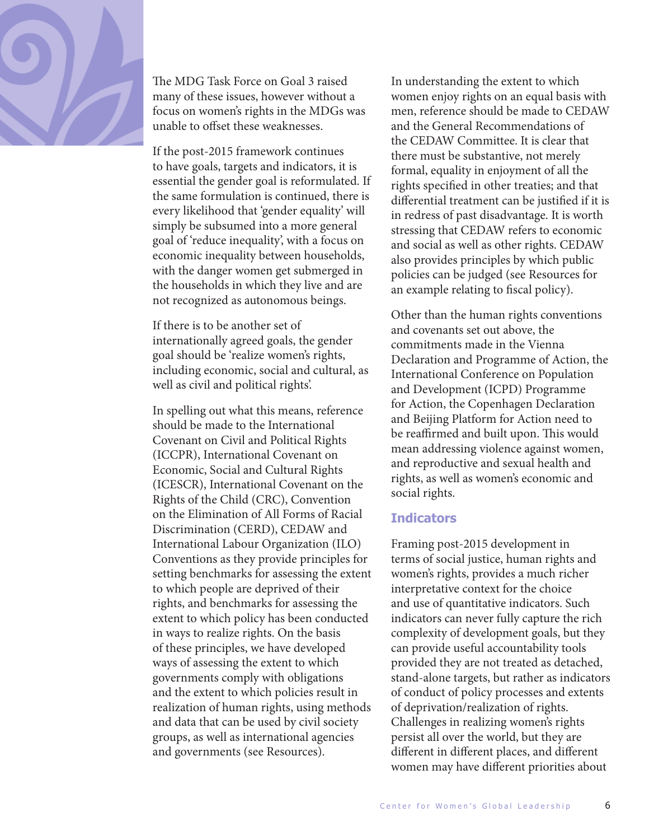

The MDG Task Force on Goal 3 raised many of these issues, however without a focus on women's rights in the MDGs was unable to offset these weaknesses.

If the post-2015 framework continues to have goals, targets and indicators, it is essential the gender goal is reformulated. If the same formulation is continued, there is every likelihood that 'gender equality' will simply be subsumed into a more general goal of 'reduce inequality', with a focus on economic inequality between households, with the danger women get submerged in the households in which they live and are not recognized as autonomous beings.

If there is to be another set of internationally agreed goals, the gender goal should be 'realize women's rights, including economic, social and cultural, as well as civil and political rights'.

In spelling out what this means, reference should be made to the International Covenant on Civil and Political Rights (ICCPR), International Covenant on Economic, Social and Cultural Rights (ICESCR), International Covenant on the Rights of the Child (CRC), Convention on the Elimination of All Forms of Racial Discrimination (CERD), CEDAW and International Labour Organization (ILO) Conventions as they provide principles for setting benchmarks for assessing the extent to which people are deprived of their rights, and benchmarks for assessing the extent to which policy has been conducted in ways to realize rights. On the basis of these principles, we have developed ways of assessing the extent to which governments comply with obligations and the extent to which policies result in realization of human rights, using methods and data that can be used by civil society groups, as well as international agencies and governments (see Resources).

In understanding the extent to which women enjoy rights on an equal basis with men, reference should be made to CEDAW and the General Recommendations of the CEDAW Committee. It is clear that there must be substantive, not merely formal, equality in enjoyment of all the rights specified in other treaties; and that differential treatment can be justified if it is in redress of past disadvantage. It is worth stressing that CEDAW refers to economic and social as well as other rights. CEDAW also provides principles by which public policies can be judged (see Resources for an example relating to fiscal policy).

Other than the human rights conventions and covenants set out above, the commitments made in the Vienna Declaration and Programme of Action, the International Conference on Population and Development (ICPD) Programme for Action, the Copenhagen Declaration and Beijing Platform for Action need to be reaffirmed and built upon. This would mean addressing violence against women, and reproductive and sexual health and rights, as well as women's economic and social rights.

#### **Indicators**

Framing post-2015 development in terms of social justice, human rights and women's rights, provides a much richer interpretative context for the choice and use of quantitative indicators. Such indicators can never fully capture the rich complexity of development goals, but they can provide useful accountability tools provided they are not treated as detached, stand-alone targets, but rather as indicators of conduct of policy processes and extents of deprivation/realization of rights. Challenges in realizing women's rights persist all over the world, but they are different in different places, and different women may have different priorities about